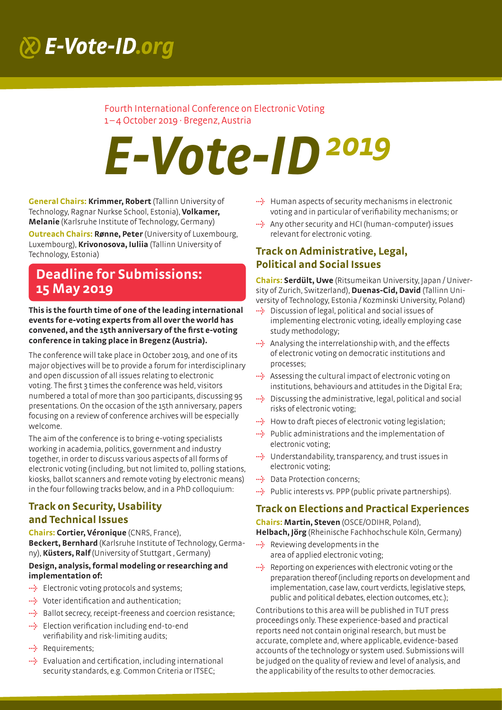# $R$  E-Vote-ID.org

### Fourth International Conference on Electronic Voting 1–4 October 2019 · Bregenz, Austria

# *E-Vote-ID2019*

**General Chairs: Krimmer, Robert** (Tallinn University of Technology, Ragnar Nurkse School, Estonia), **Volkamer, Melanie** (Karlsruhe Institute of Technology, Germany)

**Outreach Chairs: Rønne, Peter** (University of Luxembourg, Luxembourg), **Krivonosova, Iuliia** (Tallinn University of Technology, Estonia)

# **Deadline for Submissions: 15 May 2019**

**This is the fourth time of one of the leading international events for e-voting experts from all over the world has convened, and the 15th anniversary of the first e-voting conference in taking place in Bregenz (Austria).**

The conference will take place in October 2019, and one of its major objectives will be to provide a forum for interdisciplinary and open discussion of all issues relating to electronic voting. The first 3 times the conference was held, visitors numbered a total of more than 300 participants, discussing 95 presentations. On the occasion of the 15th anniversary, papers focusing on a review of conference archives will be especially welcome.

The aim of the conference is to bring e-voting specialists working in academia, politics, government and industry together, in order to discuss various aspects of all forms of electronic voting (including, but not limited to, polling stations, kiosks, ballot scanners and remote voting by electronic means) in the four following tracks below, and in a PhD colloquium:

# **Track on Security, Usability and Technical Issues**

**Chairs: Cortier, Véronique** (CNRS, France), **Beckert, Bernhard** (Karlsruhe Institute of Technology, Germany), **Küsters, Ralf** (University of Stuttgart , Germany)

#### **Design, analysis, formal modeling or researching and implementation of:**

- **<sup>4</sup>** Electronic voting protocols and systems;
- **}** Voter identification and authentication;
- **}** Ballot secrecy, receipt-freeness and coercion resistance;
- **}** Election verification including end-to-end verifiability and risk-limiting audits;
- **}** Requirements;
- **}** Evaluation and certification, including international security standards, e.g. Common Criteria or ITSEC;
- **<sup>4</sup>** Human aspects of security mechanisms in electronic voting and in particular of verifiability mechanisms; or
- **<sup>4</sup>** Any other security and HCI (human-computer) issues relevant for electronic voting.

# **Track on Administrative, Legal, Political and Social Issues**

**Chairs: Serdült, Uwe** (Ritsumeikan University, Japan / University of Zurich, Switzerland), **Duenas-Cid, David** (Tallinn University of Technology, Estonia / Kozminski University, Poland)

- **}** Discussion of legal, political and social issues of implementing electronic voting, ideally employing case study methodology;
- **}** Analysing the interrelationship with, and the effects of electronic voting on democratic institutions and processes;
- **<sup>42</sup>** Assessing the cultural impact of electronic voting on institutions, behaviours and attitudes in the Digital Era;
- **}** Discussing the administrative, legal, political and social risks of electronic voting;
- **}** How to draft pieces of electronic voting legislation;
- **}** Public administrations and the implementation of electronic voting;
- **}** Understandability, transparency, and trust issues in electronic voting;
- **}** Data Protection concerns;
- **<sup>\*\*</sup>** Public interests vs. PPP (public private partnerships).

# **Track on Elections and Practical Experiences**

**Chairs: Martin, Steven** (OSCE/ODIHR, Poland),

**Helbach, Jörg** (Rheinische Fachhochschule Köln, Germany)

- **}** Reviewing developments in the area of applied electronic voting;
- **}** Reporting on experiences with electronic voting or the preparation thereof (including reports on development and implementation, case law, court verdicts, legislative steps, public and political debates, election outcomes, etc.);

Contributions to this area will be published in TUT press proceedings only. These experience-based and practical reports need not contain original research, but must be accurate, complete and, where applicable, evidence-based accounts of the technology or system used. Submissions will be judged on the quality of review and level of analysis, and the applicability of the results to other democracies.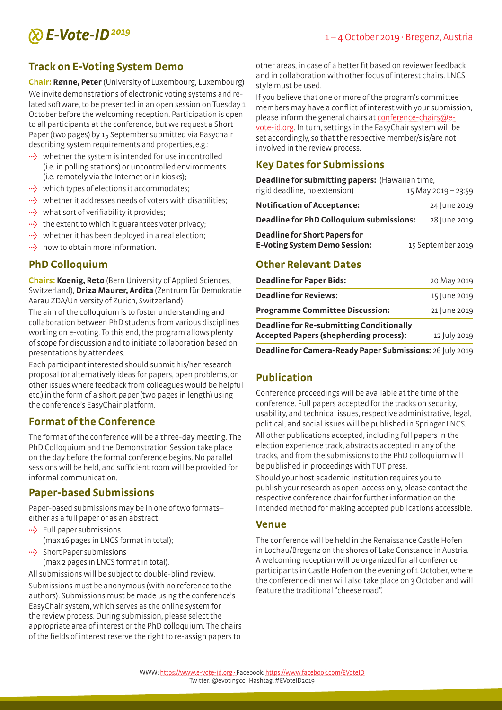# *E-Vote-ID* <sup>2019</sup> 1−4 October 2019 · Bregenz, Austria

# **Track on E-Voting System Demo**

**Chair: Rønne, Peter** (University of Luxembourg, Luxembourg) We invite demonstrations of electronic voting systems and related software, to be presented in an open session on Tuesday 1 October before the welcoming reception. Participation is open to all participants at the conference, but we request a Short Paper (two pages) by 15 September submitted via Easychair describing system requirements and properties, e.g.:

- **<sup>44</sup>** whether the system is intended for use in controlled (i.e. in polling stations) or uncontrolled environments (i.e. remotely via the Internet or in kiosks);
- **<sup>4</sup>** which types of elections it accommodates;
- **<sup>42</sup>** whether it addresses needs of voters with disabilities:
- **••** what sort of verifiability it provides;
- **•••** the extent to which it guarantees voter privacy;
- **<sup>4</sup>** whether it has been deployed in a real election;
- **••** how to obtain more information.

### **PhD Colloquium**

**Chairs: Koenig, Reto** (Bern University of Applied Sciences, Switzerland), **Driza Maurer, Ardita** (Zentrum für Demokratie Aarau ZDA/University of Zurich, Switzerland)

The aim of the colloquium is to foster understanding and collaboration between PhD students from various disciplines working on e-voting. To this end, the program allows plenty of scope for discussion and to initiate collaboration based on presentations by attendees.

Each participant interested should submit his/her research proposal (or alternatively ideas for papers, open problems, or other issues where feedback from colleagues would be helpful etc.) in the form of a short paper (two pages in length) using the conference's EasyChair platform.

# **Format of the Conference**

The format of the conference will be a three-day meeting. The PhD Colloquium and the Demonstration Session take place on the day before the formal conference begins. No parallel sessions will be held, and sufficient room will be provided for informal communication.

# **Paper-based Submissions**

Paper-based submissions may be in one of two formats– either as a full paper or as an abstract.

- **}** Full paper submissions (max 16 pages in LNCS format in total);
- **<sup>4</sup>** Short Paper submissions (max 2 pages in LNCS format in total).

All submissions will be subject to double-blind review.

Submissions must be anonymous (with no reference to the authors). Submissions must be made using the conference's EasyChair system, which serves as the online system for the review process. During submission, please select the appropriate area of interest or the PhD colloquium. The chairs of the fields of interest reserve the right to re-assign papers to

other areas, in case of a better fit based on reviewer feedback and in collaboration with other focus of interest chairs. LNCS style must be used.

If you believe that one or more of the program's committee members may have a conflict of interest with your submission, please inform the general chairs at conference-chairs@evote-id.org. In turn, settings in the EasyChair system will be set accordingly, so that the respective member/s is/are not involved in the review process.

# **Key Dates for Submissions**

**Deadline for submitting papers:** (Hawaiian time,

| rigid deadline, no extension)                   | 15 May 2019 - 23:59 |              |
|-------------------------------------------------|---------------------|--------------|
| <b>Notification of Acceptance:</b>              |                     | 24 June 2019 |
| <b>Deadline for PhD Colloquium submissions:</b> |                     | 28 June 2019 |
| <b>Deadline for Short Papers for</b>            |                     |              |
| <b>E-Voting System Demo Session:</b>            | 15 September 2019   |              |

### **Other Relevant Dates**

| Deadline for Camera-Ready Paper Submissions: 26 July 2019 |              |
|-----------------------------------------------------------|--------------|
| <b>Accepted Papers (shepherding process):</b>             | 12 July 2019 |
| <b>Deadline for Re-submitting Conditionally</b>           |              |
| <b>Programme Committee Discussion:</b>                    | 21 June 2019 |
| <b>Deadline for Reviews:</b>                              | 15 June 2019 |
| <b>Deadline for Paper Bids:</b>                           | 20 May 2019  |

# **Publication**

Conference proceedings will be available at the time of the conference. Full papers accepted for the tracks on security, usability, and technical issues, respective administrative, legal, political, and social issues will be published in Springer LNCS. All other publications accepted, including full papers in the election experience track, abstracts accepted in any of the tracks, and from the submissions to the PhD colloquium will be published in proceedings with TUT press.

Should your host academic institution requires you to publish your research as open-access only, please contact the respective conference chair for further information on the intended method for making accepted publications accessible.

#### **Venue**

The conference will be held in the Renaissance Castle Hofen in Lochau/Bregenz on the shores of Lake Constance in Austria. A welcoming reception will be organized for all conference participants in Castle Hofen on the evening of 1 October, where the conference dinner will also take place on 3 October and will feature the traditional "cheese road".